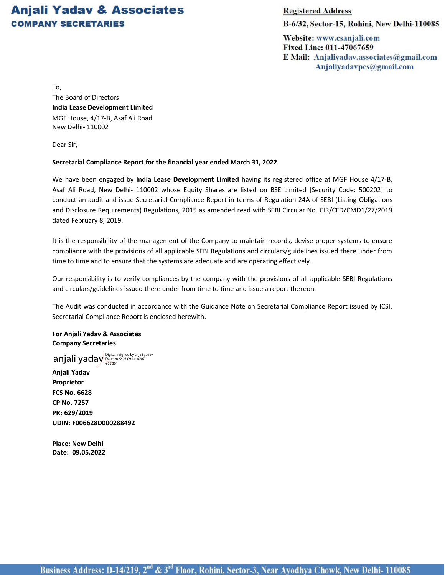## **Anjali Yadav & Associates COMPANY SECRETARIES**

**Registered Address** 

B-6/32, Sector-15, Rohini, New Delhi-110085

Website: www.csanjali.com Fixed Line: 011-47067659 E Mail: Anjaliyadav.associates@gmail.com Anjaliyadavpcs@gmail.com

To,

The Board of Directors **India Lease Development Limited** MGF House, 4/17-B, Asaf Ali Road New Delhi- 110002

Dear Sir,

## **Secretarial Compliance Report for the financial year ended March 31, 2022**

We have been engaged by **India Lease Development Limited** having its registered office at MGF House 4/17-B, Asaf Ali Road, New Delhi- 110002 whose Equity Shares are listed on BSE Limited [Security Code: 500202] to conduct an audit and issue Secretarial Compliance Report in terms of Regulation 24A of SEBI (Listing Obligations and Disclosure Requirements) Regulations, 2015 as amended read with SEBI Circular No. CIR/CFD/CMD1/27/2019 dated February 8, 2019.

It is the responsibility of the management of the Company to maintain records, devise proper systems to ensure compliance with the provisions of all applicable SEBI Regulations and circulars/guidelines issued there under from time to time and to ensure that the systems are adequate and are operating effectively.

Our responsibility is to verify compliances by the company with the provisions of all applicable SEBI Regulations and circulars/guidelines issued there under from time to time and issue a report thereon.

The Audit was conducted in accordance with the Guidance Note on Secretarial Compliance Report issued by ICSI. Secretarial Compliance Report is enclosed herewith.

**For Anjali Yadav & Associates Company Secretaries**

anjali yaday <sup>Digitally signed by anjali yadav</sup>

**Anjali Yadav Proprietor FCS No. 6628 CP No. 7257 PR: 629/2019 UDIN: F006628D000288492**

**Place: New Delhi Date: 09.05.2022**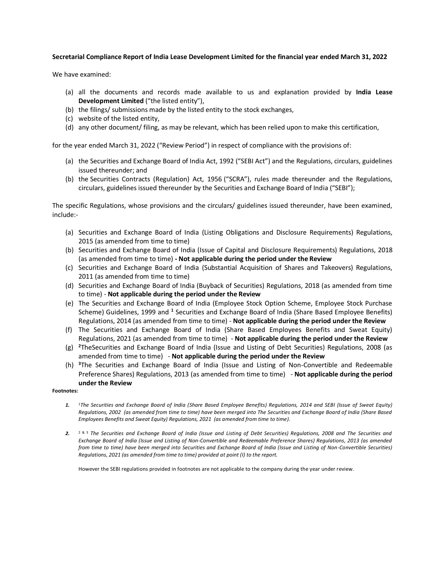## **Secretarial Compliance Report of India Lease Development Limited for the financial year ended March 31, 2022**

We have examined:

- (a) all the documents and records made available to us and explanation provided by **India Lease Development Limited** ("the listed entity"),
- (b) the filings/ submissions made by the listed entity to the stock exchanges,
- (c) website of the listed entity,
- (d) any other document/ filing, as may be relevant, which has been relied upon to make this certification,

for the year ended March 31, 2022 ("Review Period") in respect of compliance with the provisions of:

- (a) the Securities and Exchange Board of India Act, 1992 ("SEBI Act") and the Regulations, circulars, guidelines issued thereunder; and
- (b) the Securities Contracts (Regulation) Act, 1956 ("SCRA"), rules made thereunder and the Regulations, circulars, guidelines issued thereunder by the Securities and Exchange Board of India ("SEBI");

The specific Regulations, whose provisions and the circulars/ guidelines issued thereunder, have been examined, include:-

- (a) Securities and Exchange Board of India (Listing Obligations and Disclosure Requirements) Regulations, 2015 (as amended from time to time)
- (b) Securities and Exchange Board of India (Issue of Capital and Disclosure Requirements) Regulations, 2018 (as amended from time to time) **- Not applicable during the period under the Review**
- (c) Securities and Exchange Board of India (Substantial Acquisition of Shares and Takeovers) Regulations, 2011 (as amended from time to time)
- (d) Securities and Exchange Board of India (Buyback of Securities) Regulations, 2018 (as amended from time to time) - **Not applicable during the period under the Review**
- (e) The Securities and Exchange Board of India (Employee Stock Option Scheme, Employee Stock Purchase Scheme) Guidelines, 1999 and <sup>1</sup> Securities and Exchange Board of India (Share Based Employee Benefits) Regulations, 2014 (as amended from time to time) - **Not applicable during the period under the Review**
- (f) The Securities and Exchange Board of India (Share Based Employees Benefits and Sweat Equity) Regulations, 2021 (as amended from time to time) - **Not applicable during the period under the Review**
- (g) **<sup>2</sup>**TheSecurities and Exchange Board of India (Issue and Listing of Debt Securities) Regulations, 2008 (as amended from time to time) - **Not applicable during the period under the Review**
- (h) **<sup>3</sup>**The Securities and Exchange Board of India (Issue and Listing of Non-Convertible and Redeemable Preference Shares) Regulations, 2013 (as amended from time to time) - **Not applicable during the period under the Review**

## **Footnotes:**

- *1.* <sup>1</sup>*The Securities and Exchange Board of India (Share Based Employee Benefits) Regulations, 2014 and SEBI (Issue of Sweat Equity) Regulations, 2002 (as amended from time to time) have been merged into The Securities and Exchange Board of India (Share Based Employees Benefits and Sweat Equity) Regulations, 2021 (as amended from time to time).*
- *2.* 2 & 3 *The Securities and Exchange Board of India (Issue and Listing of Debt Securities) Regulations, 2008 and The Securities and Exchange Board of India (Issue and Listing of Non-Convertible and Redeemable Preference Shares) Regulations, 2013 (as amended from time to time) have been merged into Securities and Exchange Board of India (Issue and Listing of Non-Convertible Securities) Regulations, 2021 (as amended from time to time) provided at point (I) to the report.*

However the SEBI regulations provided in footnotes are not applicable to the company during the year under review.